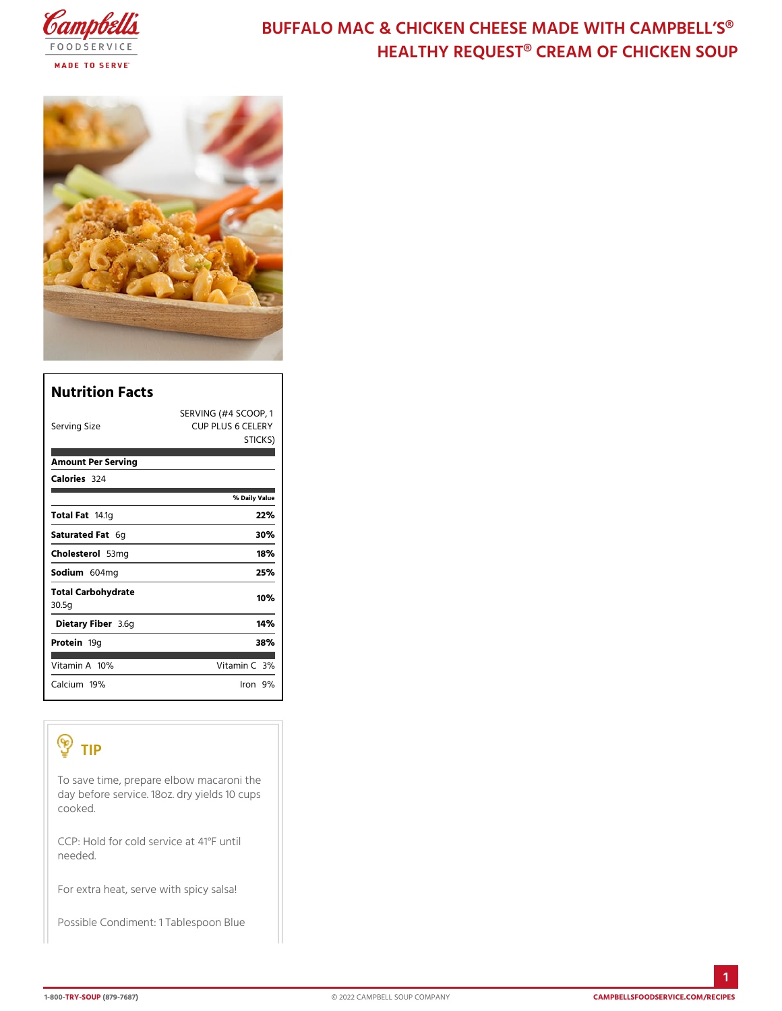# BUFFALO MAC & CHICKEN CHEESE MADE HEALTHY REQUEST® CREAM OF

| Nutrition Facts             |                                                      |
|-----------------------------|------------------------------------------------------|
| Serving Size                | SERVING (#4 SCOOP, 1<br>CUP PLUS 6 CELERY<br>STICKS) |
| Amount Per Serving          |                                                      |
| Calorie3s24                 |                                                      |
|                             | % Daily Value                                        |
| Total Fa4.1g                | 22%                                                  |
| Saturated 6Fgat             | 30%                                                  |
| Choleste 563 lm g           | 18%                                                  |
| Sodium 604 mg               | 25%                                                  |
| Total Carbohydrate<br>30.5g | 10%                                                  |
| Dietary F3ib6egr            | 14%                                                  |
| Proteifi9g                  | 38%                                                  |
| Vitamin1A0 %                | Vitamin3 <b>%</b>                                    |
| $C$ alcium $9%$             | lron9%                                               |

### TIP

To save time, prepare elbow macaroni the day before service. 18oz. dry yields 10 cups cooked.  $CCP:$  Hold for cold service at 41°F until needed. For extra heat, serve with spicy salsa! Possible Condiment: 1 Tablespoon Blue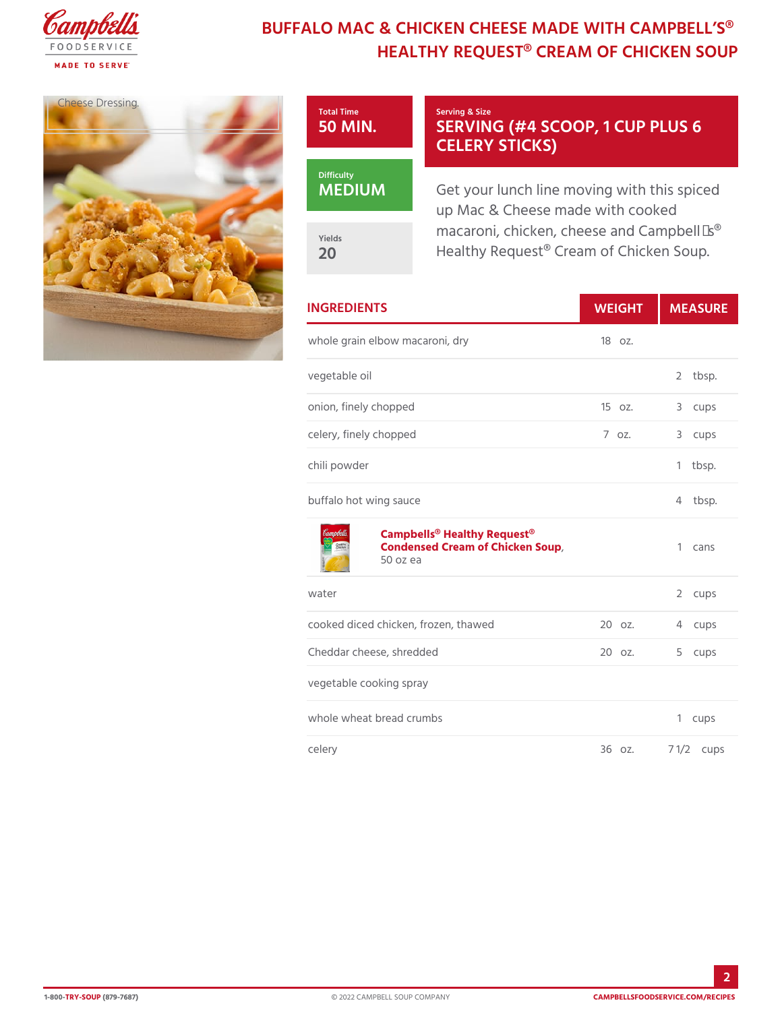# BUFFALO MAC & CHICKEN CHEESE MADE HEALTHY REQUEST® CREAM OF

Total Time 50 MIN.

MEDIUM

Yields 20

Cheese Dressing.

### Serving & Size SERVING (#4 SCOOP, 1 CELERY STICKS)

Get your lunch line moving with up Mac & Cheese made with cod macaroni, chicken, cheese and Healthy Request® Cream of Chi

| <b>INGREDIENTS</b>                                                                | WEIGH MEASU       |                |         |
|-----------------------------------------------------------------------------------|-------------------|----------------|---------|
| whole grain elbow macaroni, dry 18 oz.                                            |                   |                |         |
| vegetable oil                                                                     |                   | $\overline{2}$ | tbsp.   |
| onion, finely chopped                                                             | 150z.             |                | 3 cups  |
| celery, finely chopped                                                            | $7.0Z$ .          |                | 3 cups  |
| chili powder                                                                      |                   | $\mathbf{1}$   | tbsp.   |
| buffalo hot wing sauce                                                            |                   |                | 4 tbsp. |
| Campbells® Healthy Request®<br>Condensed Cream of Chicken Soup 1 cans<br>50 oz ea |                   |                |         |
| water                                                                             |                   | 2              | cups    |
| cooked diced chicken, frozen, thawe2d0 oz.                                        |                   |                | 4 cups  |
| Cheddar cheese, shredded                                                          | 20 oz.            | 5              | cups    |
| vegetable cooking spray                                                           |                   |                |         |
| whole wheat bread crumbs                                                          |                   | 1              | cups    |
| celery                                                                            | 36 oz. 7 1/2 cups |                |         |